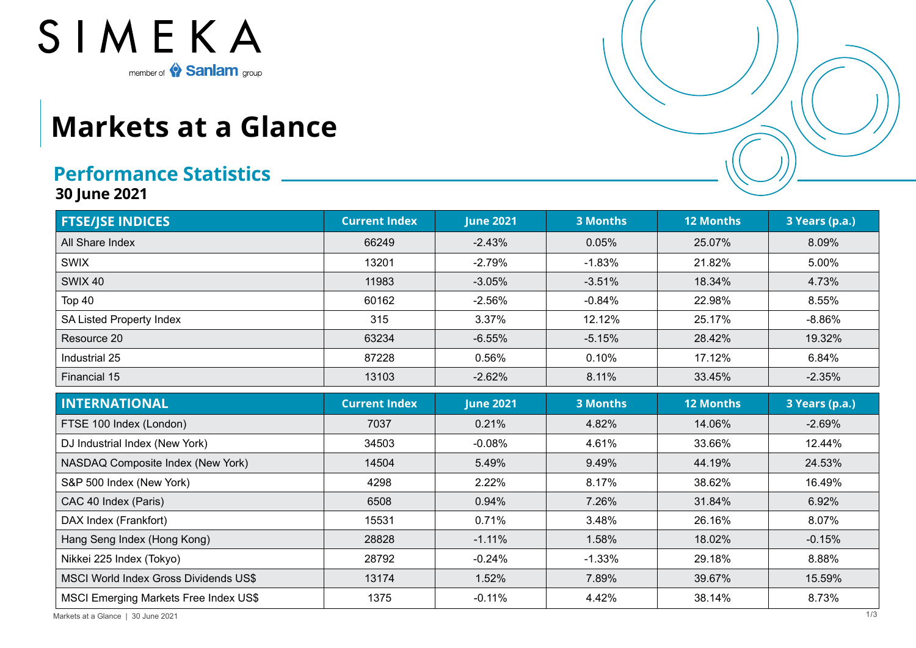

## **Markets at a Glance**

## **Performance Statistics**

**30 June 2021**

| <b>FTSE/JSE INDICES</b>               | <b>Current Index</b> | <b>June 2021</b> | <b>3 Months</b> | 12 Months        | 3 Years (p.a.) |
|---------------------------------------|----------------------|------------------|-----------------|------------------|----------------|
| All Share Index                       | 66249                | $-2.43%$         | 0.05%           | 25.07%           | 8.09%          |
| <b>SWIX</b>                           | 13201                | $-2.79%$         | $-1.83%$        | 21.82%           | 5.00%          |
| <b>SWIX 40</b>                        | 11983                | $-3.05%$         | $-3.51%$        | 18.34%           | 4.73%          |
| Top 40                                | 60162                | $-2.56%$         | $-0.84%$        | 22.98%           | 8.55%          |
| SA Listed Property Index              | 315                  | 3.37%            | 12.12%          | 25.17%           | $-8.86%$       |
| Resource 20                           | 63234                | $-6.55%$         | $-5.15%$        | 28.42%           | 19.32%         |
| Industrial 25                         | 87228                | 0.56%            | 0.10%           | 17.12%           | 6.84%          |
| Financial 15                          | 13103                | $-2.62%$         | 8.11%           | 33.45%           | $-2.35%$       |
| <b>INTERNATIONAL</b>                  | <b>Current Index</b> | <b>June 2021</b> | <b>3 Months</b> | <b>12 Months</b> | 3 Years (p.a.) |
| FTSE 100 Index (London)               | 7037                 | 0.21%            | 4.82%           | 14.06%           | $-2.69%$       |
| DJ Industrial Index (New York)        | 34503                | $-0.08%$         | 4.61%           | 33.66%           | 12.44%         |
| NASDAQ Composite Index (New York)     | 14504                | 5.49%            | 9.49%           | 44.19%           | 24.53%         |
| S&P 500 Index (New York)              | 4298                 | 2.22%            | 8.17%           | 38.62%           | 16.49%         |
| CAC 40 Index (Paris)                  | 6508                 | 0.94%            | 7.26%           | 31.84%           | 6.92%          |
| DAX Index (Frankfort)                 | 15531                | 0.71%            | 3.48%           | 26.16%           | 8.07%          |
| Hang Seng Index (Hong Kong)           | 28828                | $-1.11%$         | 1.58%           | 18.02%           | $-0.15%$       |
| Nikkei 225 Index (Tokyo)              | 28792                | $-0.24%$         | $-1.33%$        | 29.18%           | 8.88%          |
| MSCI World Index Gross Dividends US\$ | 13174                | 1.52%            | 7.89%           | 39.67%           | 15.59%         |
| MSCI Emerging Markets Free Index US\$ | 1375                 | $-0.11%$         | 4.42%           | 38.14%           | 8.73%          |

Markets at a Glance | 30 June 2021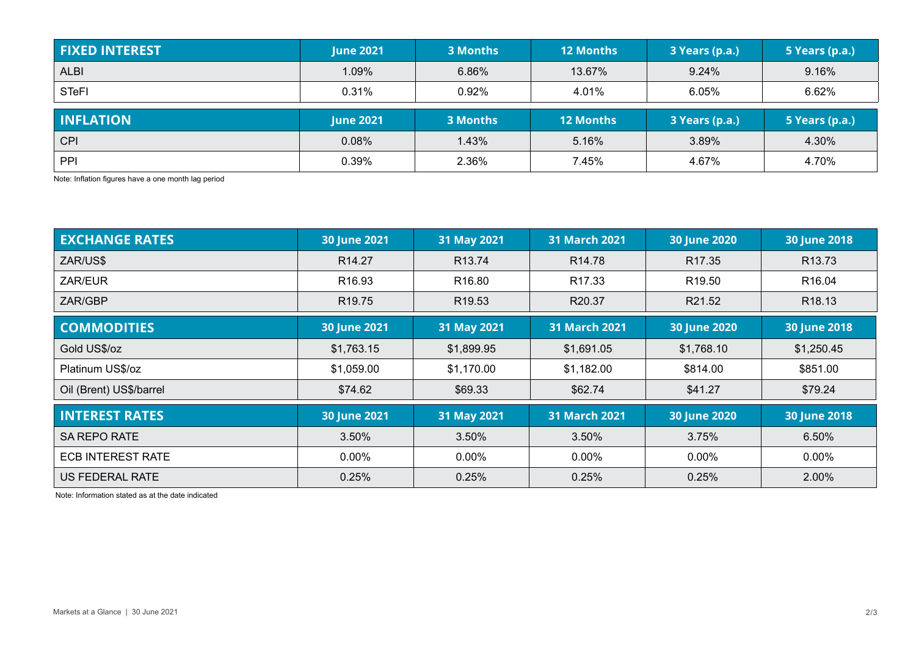| <b>FIXED INTEREST</b> | <b>June 2021</b> | 3 Months | <b>12 Months</b> | 3 Years (p.a.) | 5 Years (p.a.) |
|-----------------------|------------------|----------|------------------|----------------|----------------|
| <b>ALBI</b>           | 1.09%            | 6.86%    | 13.67%           | 9.24%          | 9.16%          |
| <b>STeFI</b>          | 0.31%            | 0.92%    | 4.01%            | 6.05%          | 6.62%          |
|                       |                  |          |                  |                |                |
| <b>INFLATION</b>      | <b>June 2021</b> | 3 Months | <b>12 Months</b> | 3 Years (p.a.) | 5 Years (p.a.) |
| <b>CPI</b>            | 0.08%            | 1.43%    | 5.16%            | 3.89%          | 4.30%          |

Note: Inflation figures have a one month lag period

| <b>EXCHANGE RATES</b>    | 30 June 2021        | 31 May 2021        | <b>31 March 2021</b> | 30 June 2020       | <b>30 June 2018</b> |
|--------------------------|---------------------|--------------------|----------------------|--------------------|---------------------|
| ZAR/US\$                 | R <sub>14.27</sub>  | R <sub>13.74</sub> | R <sub>14.78</sub>   | R <sub>17.35</sub> | R <sub>13.73</sub>  |
| ZAR/EUR                  | R <sub>16.93</sub>  | R <sub>16.80</sub> | R <sub>17.33</sub>   | R <sub>19.50</sub> | R <sub>16.04</sub>  |
| ZAR/GBP                  | R <sub>19.75</sub>  | R <sub>19.53</sub> | R20.37               | R21.52             | R <sub>18.13</sub>  |
| <b>COMMODITIES</b>       | <b>30 June 2021</b> | 31 May 2021        | <b>31 March 2021</b> | 30 June 2020       | <b>30 June 2018</b> |
| Gold US\$/oz             | \$1,763.15          | \$1,899.95         | \$1,691.05           | \$1,768.10         | \$1,250.45          |
| Platinum US\$/oz         | \$1,059.00          | \$1,170.00         | \$1,182.00           | \$814.00           | \$851.00            |
| Oil (Brent) US\$/barrel  | \$74.62             | \$69.33            | \$62.74              | \$41.27            | \$79.24             |
| <b>INTEREST RATES</b>    | <b>30 June 2021</b> | 31 May 2021        | <b>31 March 2021</b> | 30 June 2020       | <b>30 June 2018</b> |
| <b>SA REPO RATE</b>      | 3.50%               | 3.50%              | 3.50%                | 3.75%              | 6.50%               |
| <b>ECB INTEREST RATE</b> | 0.00%               | $0.00\%$           | $0.00\%$             | $0.00\%$           | $0.00\%$            |
| US FEDERAL RATE          | 0.25%               | 0.25%              | 0.25%                | 0.25%              | 2.00%               |

Note: Information stated as at the date indicated